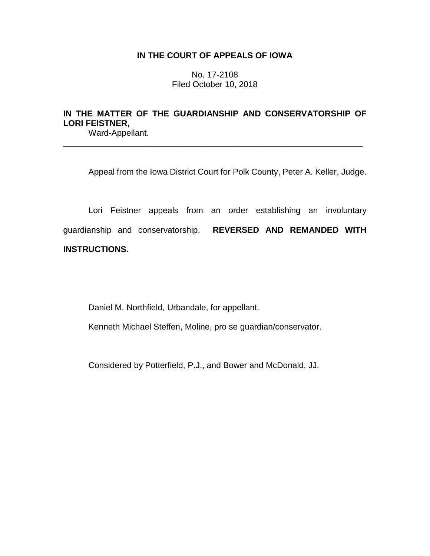## **IN THE COURT OF APPEALS OF IOWA**

No. 17-2108 Filed October 10, 2018

## **IN THE MATTER OF THE GUARDIANSHIP AND CONSERVATORSHIP OF LORI FEISTNER,**

\_\_\_\_\_\_\_\_\_\_\_\_\_\_\_\_\_\_\_\_\_\_\_\_\_\_\_\_\_\_\_\_\_\_\_\_\_\_\_\_\_\_\_\_\_\_\_\_\_\_\_\_\_\_\_\_\_\_\_\_\_\_\_\_

Ward-Appellant.

Appeal from the Iowa District Court for Polk County, Peter A. Keller, Judge.

Lori Feistner appeals from an order establishing an involuntary guardianship and conservatorship. **REVERSED AND REMANDED WITH INSTRUCTIONS.**

Daniel M. Northfield, Urbandale, for appellant.

Kenneth Michael Steffen, Moline, pro se guardian/conservator.

Considered by Potterfield, P.J., and Bower and McDonald, JJ.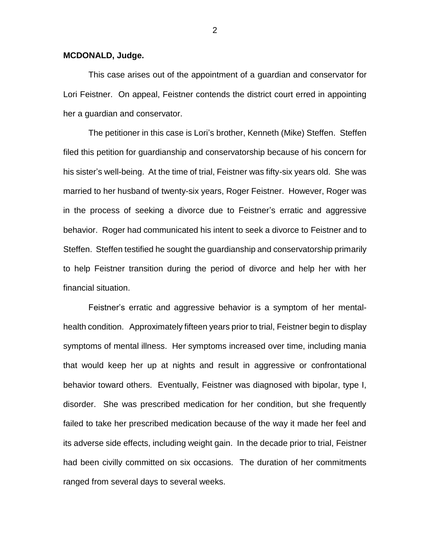## **MCDONALD, Judge.**

This case arises out of the appointment of a guardian and conservator for Lori Feistner. On appeal, Feistner contends the district court erred in appointing her a guardian and conservator.

The petitioner in this case is Lori's brother, Kenneth (Mike) Steffen. Steffen filed this petition for guardianship and conservatorship because of his concern for his sister's well-being. At the time of trial, Feistner was fifty-six years old. She was married to her husband of twenty-six years, Roger Feistner. However, Roger was in the process of seeking a divorce due to Feistner's erratic and aggressive behavior. Roger had communicated his intent to seek a divorce to Feistner and to Steffen. Steffen testified he sought the guardianship and conservatorship primarily to help Feistner transition during the period of divorce and help her with her financial situation.

Feistner's erratic and aggressive behavior is a symptom of her mentalhealth condition. Approximately fifteen years prior to trial, Feistner begin to display symptoms of mental illness. Her symptoms increased over time, including mania that would keep her up at nights and result in aggressive or confrontational behavior toward others. Eventually, Feistner was diagnosed with bipolar, type I, disorder. She was prescribed medication for her condition, but she frequently failed to take her prescribed medication because of the way it made her feel and its adverse side effects, including weight gain. In the decade prior to trial, Feistner had been civilly committed on six occasions. The duration of her commitments ranged from several days to several weeks.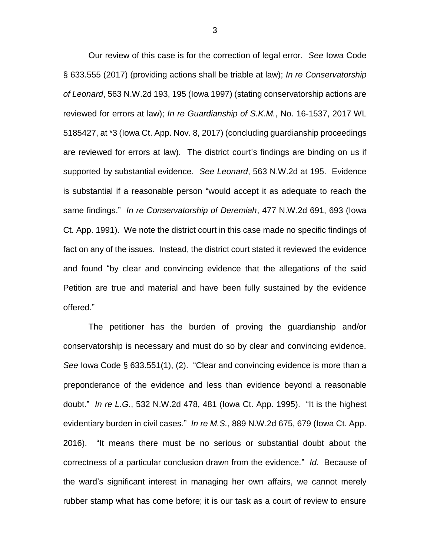Our review of this case is for the correction of legal error. *See* Iowa Code § 633.555 (2017) (providing actions shall be triable at law); *In re Conservatorship of Leonard*, 563 N.W.2d 193, 195 (Iowa 1997) (stating conservatorship actions are reviewed for errors at law); *In re Guardianship of S.K.M.*, No. 16-1537, 2017 WL 5185427, at \*3 (Iowa Ct. App. Nov. 8, 2017) (concluding guardianship proceedings are reviewed for errors at law). The district court's findings are binding on us if supported by substantial evidence. *See Leonard*, 563 N.W.2d at 195. Evidence is substantial if a reasonable person "would accept it as adequate to reach the same findings." *In re Conservatorship of Deremiah*, 477 N.W.2d 691, 693 (Iowa Ct. App. 1991). We note the district court in this case made no specific findings of fact on any of the issues. Instead, the district court stated it reviewed the evidence and found "by clear and convincing evidence that the allegations of the said Petition are true and material and have been fully sustained by the evidence offered."

The petitioner has the burden of proving the guardianship and/or conservatorship is necessary and must do so by clear and convincing evidence. *See* Iowa Code § 633.551(1), (2). "Clear and convincing evidence is more than a preponderance of the evidence and less than evidence beyond a reasonable doubt." *In re L.G.*, 532 N.W.2d 478, 481 (Iowa Ct. App. 1995). "It is the highest evidentiary burden in civil cases." *In re M.S.*, 889 N.W.2d 675, 679 (Iowa Ct. App. 2016). "It means there must be no serious or substantial doubt about the correctness of a particular conclusion drawn from the evidence." *Id.* Because of the ward's significant interest in managing her own affairs, we cannot merely rubber stamp what has come before; it is our task as a court of review to ensure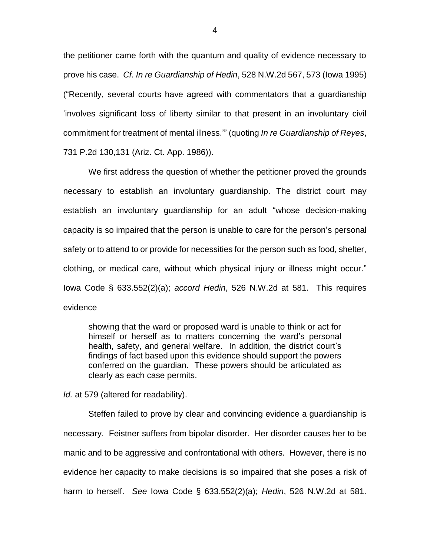the petitioner came forth with the quantum and quality of evidence necessary to prove his case. *Cf. In re Guardianship of Hedin*, 528 N.W.2d 567, 573 (Iowa 1995) ("Recently, several courts have agreed with commentators that a guardianship 'involves significant loss of liberty similar to that present in an involuntary civil commitment for treatment of mental illness.'" (quoting *In re Guardianship of Reyes*, 731 P.2d 130,131 (Ariz. Ct. App. 1986)).

We first address the question of whether the petitioner proved the grounds necessary to establish an involuntary guardianship. The district court may establish an involuntary guardianship for an adult "whose decision-making capacity is so impaired that the person is unable to care for the person's personal safety or to attend to or provide for necessities for the person such as food, shelter, clothing, or medical care, without which physical injury or illness might occur." Iowa Code § 633.552(2)(a); *accord Hedin*, 526 N.W.2d at 581. This requires evidence

showing that the ward or proposed ward is unable to think or act for himself or herself as to matters concerning the ward's personal health, safety, and general welfare. In addition, the district court's findings of fact based upon this evidence should support the powers conferred on the guardian. These powers should be articulated as clearly as each case permits.

*Id.* at 579 (altered for readability).

Steffen failed to prove by clear and convincing evidence a guardianship is necessary. Feistner suffers from bipolar disorder. Her disorder causes her to be manic and to be aggressive and confrontational with others. However, there is no evidence her capacity to make decisions is so impaired that she poses a risk of harm to herself. *See* Iowa Code § 633.552(2)(a); *Hedin*, 526 N.W.2d at 581.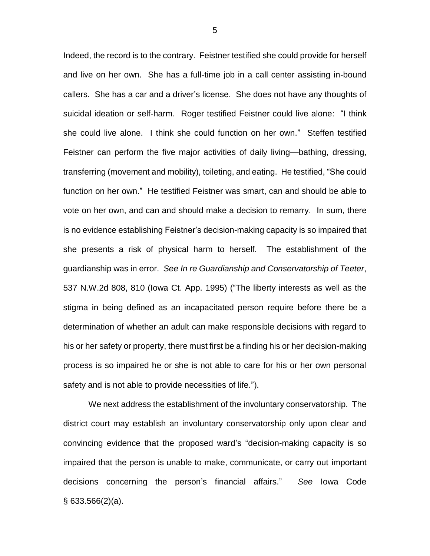Indeed, the record is to the contrary. Feistner testified she could provide for herself and live on her own. She has a full-time job in a call center assisting in-bound callers. She has a car and a driver's license. She does not have any thoughts of suicidal ideation or self-harm. Roger testified Feistner could live alone: "I think she could live alone. I think she could function on her own." Steffen testified Feistner can perform the five major activities of daily living—bathing, dressing, transferring (movement and mobility), toileting, and eating. He testified, "She could function on her own." He testified Feistner was smart, can and should be able to vote on her own, and can and should make a decision to remarry. In sum, there is no evidence establishing Feistner's decision-making capacity is so impaired that she presents a risk of physical harm to herself. The establishment of the guardianship was in error. *See In re Guardianship and Conservatorship of Teeter*, 537 N.W.2d 808, 810 (Iowa Ct. App. 1995) ("The liberty interests as well as the stigma in being defined as an incapacitated person require before there be a determination of whether an adult can make responsible decisions with regard to his or her safety or property, there must first be a finding his or her decision-making process is so impaired he or she is not able to care for his or her own personal safety and is not able to provide necessities of life.").

We next address the establishment of the involuntary conservatorship. The district court may establish an involuntary conservatorship only upon clear and convincing evidence that the proposed ward's "decision-making capacity is so impaired that the person is unable to make, communicate, or carry out important decisions concerning the person's financial affairs." *See* Iowa Code  $§$  633.566(2)(a).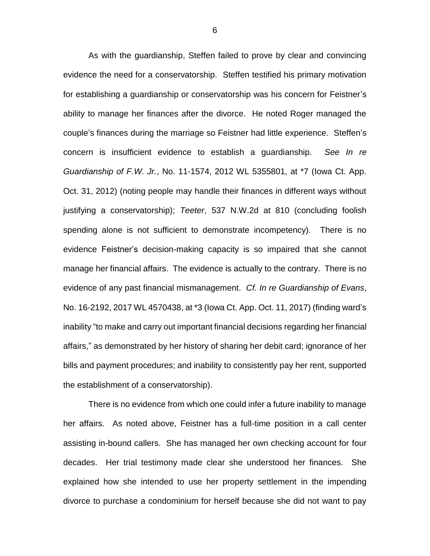As with the guardianship, Steffen failed to prove by clear and convincing evidence the need for a conservatorship. Steffen testified his primary motivation for establishing a guardianship or conservatorship was his concern for Feistner's ability to manage her finances after the divorce. He noted Roger managed the couple's finances during the marriage so Feistner had little experience. Steffen's concern is insufficient evidence to establish a guardianship. *See In re Guardianship of F.W. Jr.*, No. 11-1574, 2012 WL 5355801, at \*7 (Iowa Ct. App. Oct. 31, 2012) (noting people may handle their finances in different ways without justifying a conservatorship); *Teeter*, 537 N.W.2d at 810 (concluding foolish spending alone is not sufficient to demonstrate incompetency). There is no evidence Feistner's decision-making capacity is so impaired that she cannot manage her financial affairs. The evidence is actually to the contrary. There is no evidence of any past financial mismanagement. *Cf. In re Guardianship of Evans*, No. 16-2192, 2017 WL 4570438, at \*3 (Iowa Ct. App. Oct. 11, 2017) (finding ward's inability "to make and carry out important financial decisions regarding her financial affairs," as demonstrated by her history of sharing her debit card; ignorance of her bills and payment procedures; and inability to consistently pay her rent, supported the establishment of a conservatorship).

There is no evidence from which one could infer a future inability to manage her affairs. As noted above, Feistner has a full-time position in a call center assisting in-bound callers. She has managed her own checking account for four decades. Her trial testimony made clear she understood her finances. She explained how she intended to use her property settlement in the impending divorce to purchase a condominium for herself because she did not want to pay